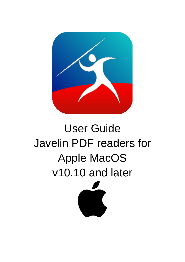

# User Guide Javelin PDF readers for Apple MacOS v10.10 and later

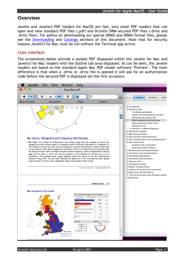# **Overview**

Javelin and Javelin3 PDF readers for MacOS are fast, very small PDF readers that can open and view standard PDF files (.pdf) and Drumlin DRM-secured PDF files (.drmx and .drmz files). For advice on downloading our special DRMZ and DRMX format files, please see the [Downloading](#page-9-0) and [Catalogs](#page-10-0) sections of this document. Note that for security reasons Javelin3 for Mac must be run without the Terminal app active.

# *User interface*

The screenshots below provide a sample PDF displayed within the Javelin for Mac and Javelin3 for Mac readers with the Outline tab area displayed. As can be seen, the Javelin readers are based on the standard Apple Mac PDF reader software "Preview". The main difference is that when a .drmx or .drmz file is opened it will ask for an authorization code before the secured PDF is displayed (on the first occasion).

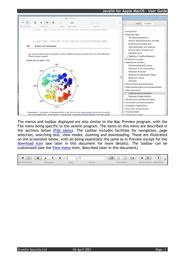

The menus and toolbar displayed are also similar to the Mac Preview program, with the File menu being specific to the Javelin program. The items on this menu are described in the sections below [\(File menu\)](#page-7-0). The toolbar includes facilities for navigation, page selection, searching text, view modes, zooming and downloading. These are illustrated on the screenshot below, with all being essentially the same as in Preview except for the [download icon](#page-9-0) (see later in this document for more details). The toolbar can be customized (see the [View menu](#page-12-0) item, described later in this document).

|                            |           | $+$<br>$\left  - \right $ |
|----------------------------|-----------|---------------------------|
| Back/Forward<br>Navigation | View Mode | Zoom In/Out<br>Download   |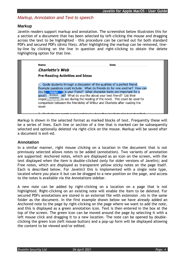# *Markup, Annotation and Text to speech*

#### **Markup**

Javelin readers support markup and annotation. The screenshot below illustrates this for a section of a document that has been selected by left-clicking the mouse and dragging across the text to be highlighted – this procedure can be carried out for both standard PDFs and secured PDFs (drmz files). After highlighting the markup can be removed, lineby-line by clicking on the line in question and right-clicking to obtain the delete highlighting option for that line.

**Name Date Charlotte's Web Pre-Reading Activities and Ideas** 1. Guide students through a discussion of the qualities of a perfect friend. Example questions could include: What do friends do for one another? How can you te Highlight le is your friend? What character traits are important for a good | Strikeout ve? What do you like about your best friend? List their response underline to see during the reading of the novel. This could be used for comparison between the friendship of Wilbur and Charlotte after reading the novel.

Markup is shown in the selected format as marked blocks of text. Frequently these will be a series of lines. Each line or section of a line that is marked can be subsequently selected and optionally deleted via right-click on the mouse. Markup will be saved after a document is exit-ed.

#### **Annotation**

In a similar manner, right mouse clicking on a location in the document that is not previously selected allows notes to be added (annotation). Two variants of annotation are supported: Anchored notes, which are displayed as an icon on the screen, with the text displayed when the item is double-clicked (only for older versions of Javelin); and Free notes, which are displayed as transparent yellow sticky notes on the page itself. Each is described below. For Javelin3 this is implemented with a single note type, located where you place it but can be dragged to a new position on the page, and access to the notes is available via the Annotations sidebar.

A new note can be added by right-clicking on a location on a page that is not highlighted. Right-clicking on an existing note will enable the item to be deleted. For secured PDFs annotations are stored in an external file with extension .nts in the same folder as the document. In the first example shown below we have already added an Anchored note to the page by right-clicking on the page where we want to add the note, and this is displayed as a green annotation icon. Text is then entered in the box at the top of the screen. The green icon can be moved around the page by selecting it with a left mouse click and dragging it to a new location. The note can be opened by doubleclicking the green icon (left mouse button) and a pop-up form will be displayed allowing the content to be viewed and/or edited.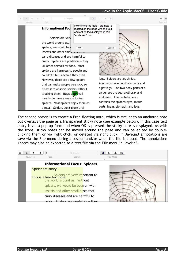

The second option is to create a Free floating note, which is similar to an anchored note but overlays the page as a transparent sticky note (see example below). In this case text entry is via a pop-up form and when OK is pressed the sticky note is displayed. As with the icons, sticky notes can be moved around the page and can be edited by doubleclicking them or via right click, or deleted via right click. In Javelin3 annotations are save via the File menu during a session and/or when the file is closed. The annotations /notes may also be exported to a text file via the File menu in Javelin3.

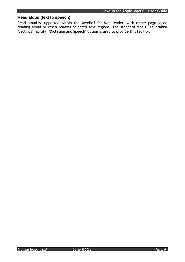# **Read aloud (text to speech)**

Read aloud is supported within the Javelin3 for Mac reader, with either page-based reading aloud or when reading selected text regions. The standard Mac OSX/Catalina "Settings" facility, "Dictation and Speech" option is used to provide this facility.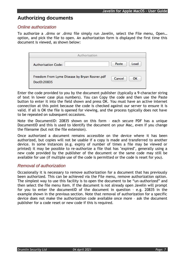# **Authorizing documents**

## *Online authorization*

To authorize a .drmx or .drmz file simply run Javelin, select the File menu, Open… option, and pick the file to open. An authorization form is displayed the first time this document is viewed, as shown below:

| Authorisation                                                |               |
|--------------------------------------------------------------|---------------|
| <b>Authorisation Code:</b>                                   | Load<br>Paste |
| Freedom From Lyme Disease by Bryan Rosner.pdf<br>DocID:20835 | Cancel<br>ОΚ  |

Enter the code provided to you by the document publisher (typically a 9-character string of text in lower case plus numbers). You can Copy the code and then use the Paste button to enter it into the field shown and press OK. You must have an active internet connection at this point because the code is checked against our server to ensure it is valid. If all is OK the file is opened for viewing, and the process typically does not have to be repeated on subsequent occasions.

Note the DocumentID: 20835 shown on this form – each secure PDF has a unique DocumentID and this is used to identify the document on your Mac, even if you change the filename (but not the file extension).

Once authorized a document remains accessible on the device where it has been authorized, but copies will not be usable if a copy is made and transferred to another device. In some instances (e.g. expiry of number of times a file may be viewed or printed) it may be possible to re-authorize a file that has "expired", generally using a new code provided by the publisher of the document or the same code may still be available for use (if multiple use of the code is permitted or the code is reset for you).

# *Removal of authorization*

Occasionally it is necessary to remove authorization for a document that has previously been authorized. This can be achieved via the File menu, remove authorization option. The simplest way to use this facility is to open the document to be "un-authorized" and then select the file menu item. If the document is not already open Javelin will prompt for you to enter the documentID of the document in question – e.g. 20835 in the example shown in the previous section. Note that removal of authorization for a specific device does not make the authorization code available once more – ask the document publisher for a code reset or new code if this is required.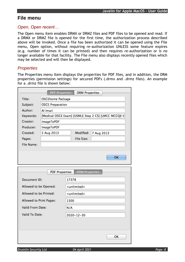# <span id="page-7-0"></span>**File menu**

## *Open, Open recent…*

The Open menu item enables DRMX or DRMZ files and PDF files to be opened and read. If a DRMX or DRMZ file is opened for the first time, the authorization process described above will be invoked. Once a file has been authorized it can be opened using the File menu, Open option, without requiring re-authorization UNLESS some feature expires (e.g. number of times it can be printed) and then requires re-authorization or is no longer available for that facility. The File menu also displays recently opened files which may be selected and will then be displayed.

# <span id="page-7-1"></span>*Properties*

The Properties menu item displays the properties for PDF files, and in addition, the DRM properties (permission settings) for secured PDFs (.drmx and .drmz files). An example for a .drmz file is shown below:

|                         | <b>PDF Properties</b>   |      | <b>DRM Properties</b>   |            |                                                       |
|-------------------------|-------------------------|------|-------------------------|------------|-------------------------------------------------------|
| Title:                  | <b>OSCEhome Package</b> |      |                         |            |                                                       |
| Subject:                | <b>OSCE Preparation</b> |      |                         |            |                                                       |
| Author:                 | Al Imari                |      |                         |            |                                                       |
| Keywords:               |                         |      |                         |            | [Medical OSCE Exam] [USMLE Step 2 CS] [LMCC MCCQE II] |
| Creator:                | <b>ImageToPDF</b>       |      |                         |            |                                                       |
| Producer:               | <b>ImageToPDF</b>       |      |                         |            |                                                       |
| Created:                | 5 Aug 2013              |      | Modified:               | 7 Aug 2013 |                                                       |
| Pages:                  |                         |      | <b>File Size:</b>       |            |                                                       |
| <b>File Name:</b>       |                         |      |                         |            |                                                       |
|                         |                         |      |                         |            |                                                       |
|                         |                         |      |                         |            | <b>OK</b>                                             |
|                         |                         |      |                         |            |                                                       |
|                         |                         |      |                         |            |                                                       |
|                         |                         |      |                         |            |                                                       |
|                         | <b>PDF Properties</b>   |      | <b>DRM Properties</b>   |            |                                                       |
| <b>Document ID:</b>     |                         |      | 17378                   |            |                                                       |
| Allowed to be Opened:   |                         |      | <unlimited></unlimited> |            |                                                       |
| Allowed to be Printed:  |                         |      | <unlimited></unlimited> |            |                                                       |
| Allowed to Print Pages: |                         | 1300 |                         |            |                                                       |
| Valid From Date:        |                         | N/A  |                         |            |                                                       |
| Valid To Date:          |                         |      | 2020-12-30              |            |                                                       |
|                         |                         |      |                         |            |                                                       |
|                         |                         |      |                         |            |                                                       |
|                         |                         |      |                         |            | OK                                                    |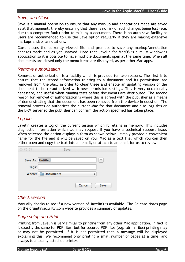#### *Save, and Close*

Save is a manual operation to ensure that any markup and annotations made are saved as at that moment, thereby ensuring that there is no risk of such changes being lost (e.g. due to a computer fault) prior to exit-ing a document. There is no auto-save facility so users are recommended to use the Save option regularly if they are making extensive markups and/or annotations.

Close closes the currently viewed file and prompts to save any markup/annotation changes made and as yet unsaved. Note that Javelin for MacOS is a multi-windowing application so it is possible to have multiple documents open at the same time. When all documents are closed only the menu items are displayed, as per other Mac apps.

#### *Remove authorization*

Removal of authorization is a facility which is provided for two reasons. The first is to ensure that the stored information relating to a document and its permissions are removed from the Mac, in order to clear these and enable an updating version of the document to be re-authorized with new permission settings. This is very occasionally necessary, and useful when running tests before documents are distributed. The second reason for removal of authorization is where this is agreed with the publisher as a means of demonstrating that the document has been removed from the device in question. The removal process de-authorizes the current Mac for that document and also logs this on the DRM server so the publisher can confirm the action specified has taken place.

# *Log file*

Javelin creates a log of the current session which it retains in memory. This includes diagnostic information which we may request if you have a technical support issue. When selected the option displays a form as shown below – simply provide a convenient name for the file and it will be saved on your Mac as a text file, which you can then either open and copy the text into an email, or attach to an email for us to review:

| $\cup$<br>$\cup$  | Save             |
|-------------------|------------------|
| Save As: Untitled |                  |
| Tags:             |                  |
| Where:            | <b>Documents</b> |
|                   |                  |
|                   | Cancel<br>Save   |

# *Check version*

Manually checks to see if a new version of Javelin3 is available. The Release Notes page on the drumlinsecurity.com website provides a summary of updates.

# *Page setup and Print…*

Printing from Javelin is very similar to printing from any other Mac application. In fact it is exactly the same for PDF files, but for secured PDF files (e.g. .drmz files) printing may or may not be permitted. If it is not permitted then a message will be displayed explaining this. We recommend only printing a small number of pages at a time, and always to a locally attached printer.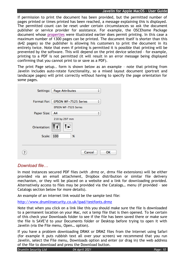If permission to print the document has been provided, but the permitted number of pages printed or times printed has been reached, a message explaining this is displayed. The permitted count can be reset under certain circumstances so ask the document publisher or service provider for assistance. For example, the OSCEhome Package document whose [properties](#page-7-1) were illustrated earlier does permit printing. In this case a maximum number of 1300 pages can be printed. The document itself is shorter than this (642 pages) so the publisher is allowing his customers to print the document in its entirety twice. Note that even if printing is permitted it is possible that printing will be prevented by the software. This will depend on the print device selected – for example, printing to a PDF is not permitted (it will result in an error message being displayed confirming that you cannot print to or save as a PDF).

The print Page setup.. form is shown below as an example – note that printing from Javelin includes auto-rotate functionality, so a mixed layout document (portrait and landscape pages) will print correctly without having to specify the page orientation for some pages.

| Settings:          | <b>Page Attributes</b><br>÷      |
|--------------------|----------------------------------|
|                    |                                  |
| Format For:        | <b>EPSON WF-7525 Series</b><br>÷ |
|                    | <b>EPSON WF-7525 Series</b>      |
| <b>Paper Size:</b> | ÷<br>A <sub>4</sub>              |
|                    | 210 by 297 mm                    |
| Orientation:       |                                  |
| Scale:             | 100<br>%                         |
|                    |                                  |
|                    |                                  |
|                    | Cancel<br>ОΚ                     |

# <span id="page-9-0"></span>*Download file…*

In most instances secured PDF files (with .drmz or, drmx file extensions) will be either provided via an email attachment, Dropbox distribution or similar file delivery mechanism, or they will be placed on a website and a link for downloading provided. Alternatively access to files may be provided via the Catalogs… menu (if provided – see Catalogs section below for more details).

An example of an internet link would be the sample test file:

<http://www.drumlinsecurity.co.uk/ipad/testfonts.drmz>

Note that when you click on a link like this you should make sure the file is downloaded to a permanent location on your Mac, not a temp file that is then opened. To be certain of this check your Downloads folder to see if the file has been saved there or make sure the file is SAVE'd to your Documents folder or Desktop before trying to open it with Javelin (via the File menu, Open… option).

If you have a problem downloading DRMX or DRMZ files from the Internet using Safari (for example it puts rubbish text all over your screen) we recommend that you run Javelin, select the File menu, Downloads option and enter (or drag in) the web address of the file to download and press the Download button.

*Drumlin Security Ltd 04 April 2021 Page: 10*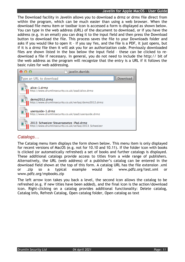The Download facility in Javelin allows you to download a drmz or drmx file direct from within the program, which can be much easier than using a web browser. When the download file menu item or toolbar icon is accessed a form is displayed as shown below. You can type in the web address (URL) of the document to download, or if you have the address (e.g. in an email) you can drag it to the input field and then press the Download button to download the file. This process saves the file to your Downloads folder and asks if you would like to open it – if you say Yes, and the file is a PDF, it just opens, but if it is a drmz file then it will ask you for an authorization code. Previously downloaded files are shown listed in the box below the input field – these can be clicked to redownload a file if necessary. In general, you do not need to include the http:// bit of the web address as the program will recognize that the entry is a URL if it follows the basic rules for web addressing.



# <span id="page-10-0"></span>*Catalogs…*

The Catalog menu item displays the form shown below. This menu item is only displayed for recent versions of MacOS (e.g. not for 10.10 and 10.11). If the folder icon with books is clicked (or automatically refreshed) a set of books and further catalogs is displayed. These additional catalogs provide access to titles from a wide range of publishers. Alternatively, the URL (web address) of a publisher's catalog can be entered in the download field shown at the top of this form. A catalog URL has the file extension .xml or .zip so a typical example would be: www.pdfz.org/test.xml or www.pdfz.org/mpbooks.zip

The left arrow icon takes you back a level, the second icon allows the catalog to be refreshed (e.g. if new titles have been added), and the final icon is the action/download icon. Right-clicking on a catalog provides additional functionality: Delete catalog, Catalog Info, Refresh Catalog, Open catalog folder, Open catalog as text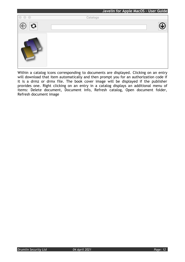

Within a catalog icons corresponding to documents are displayed. Clicking on an entry will download that item automatically and then prompt you for an authorization code if it is a drmz or drmx file. The book cover image will be displayed if the publisher provides one. Right clicking on an entry in a catalog displays an additional menu of items: Delete document, Document info, Refresh catalog, Open document folder, Refresh document image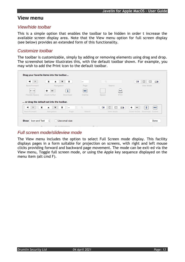# <span id="page-12-0"></span>**View menu**

# *View/hide toolbar*

This is a simple option that enables the toolbar to be hidden in order t increase the available screen display area. Note that the View menu option for full screen display (see below) provides an extended form of this functionality.

## *Customize toolbar*

The toolbar is customizable, simply by adding or removing elements using drag and drop. The screenshot below illustrates this, with the default toolbar shown. For example, you may wish to add the Print icon to the default toolbar.

| $\blacktriangleright$ | x                                              | I<br>▼   | $\overline{\phantom{a}}$ | Q                   |                  | Ц‡ | ◻<br>$\Box$<br>$\Box$        |
|-----------------------|------------------------------------------------|----------|--------------------------|---------------------|------------------|----|------------------------------|
| Back/Forward          | Navigation                                     |          | Page                     | Search              |                  |    | View Mode                    |
|                       | +                                              |          | ⇔                        |                     | _                |    |                              |
| <b>Flexible Space</b> | Zoom In/Out                                    | Download | Outline                  | Space               | Print            |    |                              |
|                       | or drag the default set into the toolbar.<br>x | Y<br>$-$ | Q                        | $\square$<br>$\Box$ | $\Box$<br>$\Box$ | ÷  | ⇔                            |
|                       |                                                |          |                          |                     | View Mode        |    | Zoom In/Out Download Outline |

# *Full screen mode/slideview mode*

The View menu includes the option to select Full Screen mode display. This facility displays pages in a form suitable for projection on screens, with right and left mouse clicks providing forward and backward page movement. The mode can be exit-ed via the View menu, Toggle full screen mode, or using the Apple key sequence displayed on the menu item (alt cmd F).